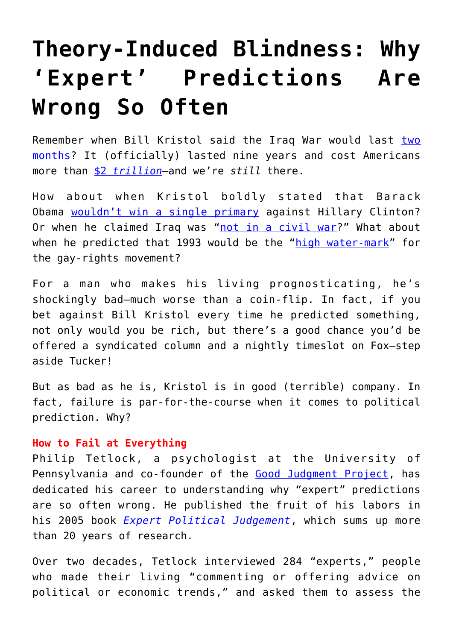## **[Theory-Induced Blindness: Why](https://intellectualtakeout.org/2018/08/theory-induced-blindness-why-expert-predictions-are-wrong-so-often/) ['Expert' Predictions Are](https://intellectualtakeout.org/2018/08/theory-induced-blindness-why-expert-predictions-are-wrong-so-often/) [Wrong So Often](https://intellectualtakeout.org/2018/08/theory-induced-blindness-why-expert-predictions-are-wrong-so-often/)**

Remember when Bill Kristol said the Iraq War would last [two](https://www.youtube.com/watch?v=nONm4myKwY8) [months?](https://www.youtube.com/watch?v=nONm4myKwY8) It (officially) lasted nine years and cost Americans more than [\\$2](https://www.reuters.com/article/us-iraq-war-anniversary-idUSBRE92D0PG20130314) *[trillion](https://www.reuters.com/article/us-iraq-war-anniversary-idUSBRE92D0PG20130314)*—and we're *still* there.

How about when Kristol boldly stated that Barack Obama [wouldn't win a single primary](https://crooksandliars.com/nicole-belle/ooops-william-always-wrong-kristol-to) against Hillary Clinton? Or when he claimed Iraq was ["not in a civil war?](https://www.theatlantic.com/politics/archive/2011/06/giuliani-bill-kristol-and-bad-predictions-timeline/351586/)" What about when he predicted that 1993 would be the ["high water-mark"](https://www.washingtonpost.com/lifestyle/style/bill-kristol-knows-his-predictions-have-been-bad-but-hes-going-to-keep-making-them/2016/02/17/3a301680-d4d4-11e5-9823-02b905009f99_story.html?utm_term=.a2ec475cb523) for the gay-rights movement?

For a man who makes his living prognosticating, he's shockingly bad—much worse than a coin-flip. In fact, if you bet against Bill Kristol every time he predicted something, not only would you be rich, but there's a good chance you'd be offered a syndicated column and a nightly timeslot on Fox—step aside Tucker!

But as bad as he is, Kristol is in good (terrible) company. In fact, failure is par-for-the-course when it comes to political prediction. Why?

## **How to Fail at Everything**

Philip Tetlock, a psychologist at the University of Pennsylvania and co-founder of the [Good Judgment Project,](https://www.gjopen.com/) has dedicated his career to understanding why "expert" predictions are so often wrong. He published the fruit of his labors in his 2005 book *[Expert Political Judgement](https://www.amazon.com/gp/product/B072F4X6QY/ref=as_li_tl?ie=UTF8&tag=n033d6-20&camp=1789&creative=9325&linkCode=as2&creativeASIN=B072F4X6QY&linkId=2bfad1dc8213755d6cb893da2f831020)*, which sums up more than 20 years of research.

Over two decades, Tetlock interviewed 284 "experts," people who made their living "commenting or offering advice on political or economic trends," and asked them to assess the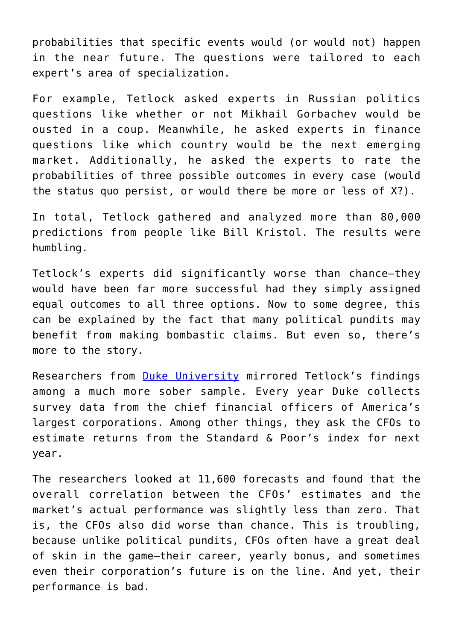probabilities that specific events would (or would not) happen in the near future. The questions were tailored to each expert's area of specialization.

For example, Tetlock asked experts in Russian politics questions like whether or not Mikhail Gorbachev would be ousted in a coup. Meanwhile, he asked experts in finance questions like which country would be the next emerging market. Additionally, he asked the experts to rate the probabilities of three possible outcomes in every case (would the status quo persist, or would there be more or less of X?).

In total, Tetlock gathered and analyzed more than 80,000 predictions from people like Bill Kristol. The results were humbling.

Tetlock's experts did significantly worse than chance—they would have been far more successful had they simply assigned equal outcomes to all three options. Now to some degree, this can be explained by the fact that many political pundits may benefit from making bombastic claims. But even so, there's more to the story.

Researchers from [Duke University](https://www.fuqua.duke.edu/duke-fuqua-insights/executives-hugely-overconfident) mirrored Tetlock's findings among a much more sober sample. Every year Duke collects survey data from the chief financial officers of America's largest corporations. Among other things, they ask the CFOs to estimate returns from the Standard & Poor's index for next year.

The researchers looked at 11,600 forecasts and found that the overall correlation between the CFOs' estimates and the market's actual performance was slightly less than zero. That is, the CFOs also did worse than chance. This is troubling, because unlike political pundits, CFOs often have a great deal of skin in the game—their career, yearly bonus, and sometimes even their corporation's future is on the line. And yet, their performance is bad.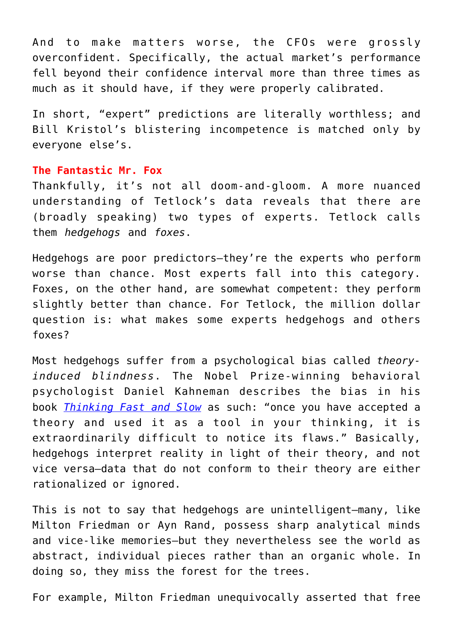And to make matters worse, the CFOs were grossly overconfident. Specifically, the actual market's performance fell beyond their confidence interval more than three times as much as it should have, if they were properly calibrated.

In short, "expert" predictions are literally worthless; and Bill Kristol's blistering incompetence is matched only by everyone else's.

## **The Fantastic Mr. Fox**

Thankfully, it's not all doom-and-gloom. A more nuanced understanding of Tetlock's data reveals that there are (broadly speaking) two types of experts. Tetlock calls them *hedgehogs* and *foxes*.

Hedgehogs are poor predictors—they're the experts who perform worse than chance. Most experts fall into this category. Foxes, on the other hand, are somewhat competent: they perform slightly better than chance. For Tetlock, the million dollar question is: what makes some experts hedgehogs and others foxes?

Most hedgehogs suffer from a psychological bias called *theoryinduced blindness*. The Nobel Prize-winning behavioral psychologist Daniel Kahneman describes the bias in his book *[Thinking Fast and Slow](https://www.amazon.com/gp/product/0374533555/ref=as_li_tl?ie=UTF8&tag=n033d6-20&camp=1789&creative=9325&linkCode=as2&creativeASIN=0374533555&linkId=e3e4e9cb9e76d88c9bb48d205485b123)* as such: "once you have accepted a theory and used it as a tool in your thinking, it is extraordinarily difficult to notice its flaws." Basically, hedgehogs interpret reality in light of their theory, and not vice versa—data that do not conform to their theory are either rationalized or ignored.

This is not to say that hedgehogs are unintelligent—many, like Milton Friedman or Ayn Rand, possess sharp analytical minds and vice-like memories—but they nevertheless see the world as abstract, individual pieces rather than an organic whole. In doing so, they miss the forest for the trees.

For example, Milton Friedman unequivocally asserted that free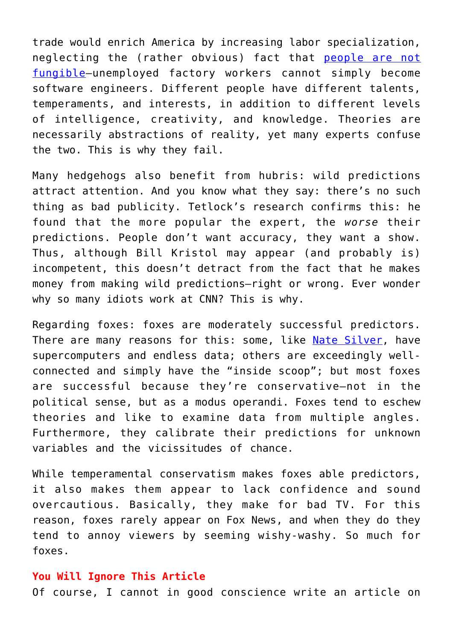trade would enrich America by increasing labor specialization, neglecting the (rather obvious) fact that [people are not](https://www.amazon.com/gp/product/027597510X/ref=as_li_tl?ie=UTF8&tag=n033d6-20&camp=1789&creative=9325&linkCode=as2&creativeASIN=027597510X&linkId=1987f1d3f96f0d8792aa7401107f4f93) [fungible—](https://www.amazon.com/gp/product/027597510X/ref=as_li_tl?ie=UTF8&tag=n033d6-20&camp=1789&creative=9325&linkCode=as2&creativeASIN=027597510X&linkId=1987f1d3f96f0d8792aa7401107f4f93)unemployed factory workers cannot simply become software engineers. Different people have different talents, temperaments, and interests, in addition to different levels of intelligence, creativity, and knowledge. Theories are necessarily abstractions of reality, yet many experts confuse the two. This is why they fail.

Many hedgehogs also benefit from hubris: wild predictions attract attention. And you know what they say: there's no such thing as bad publicity. Tetlock's research confirms this: he found that the more popular the expert, the *worse* their predictions. People don't want accuracy, they want a show. Thus, although Bill Kristol may appear (and probably is) incompetent, this doesn't detract from the fact that he makes money from making wild predictions—right or wrong. Ever wonder why so many idiots work at CNN? This is why.

Regarding foxes: foxes are moderately successful predictors. There are many reasons for this: some, like [Nate Silver,](https://www.amazon.com/gp/product/0143125087/ref=as_li_tl?ie=UTF8&tag=n033d6-20&camp=1789&creative=9325&linkCode=as2&creativeASIN=0143125087&linkId=830db0f5fe0326010f59e5fb3a506f5f) have supercomputers and endless data; others are exceedingly wellconnected and simply have the "inside scoop"; but most foxes are successful because they're conservative—not in the political sense, but as a modus operandi. Foxes tend to eschew theories and like to examine data from multiple angles. Furthermore, they calibrate their predictions for unknown variables and the vicissitudes of chance.

While temperamental conservatism makes foxes able predictors, it also makes them appear to lack confidence and sound overcautious. Basically, they make for bad TV. For this reason, foxes rarely appear on Fox News, and when they do they tend to annoy viewers by seeming wishy-washy. So much for foxes.

## **You Will Ignore This Article**

Of course, I cannot in good conscience write an article on